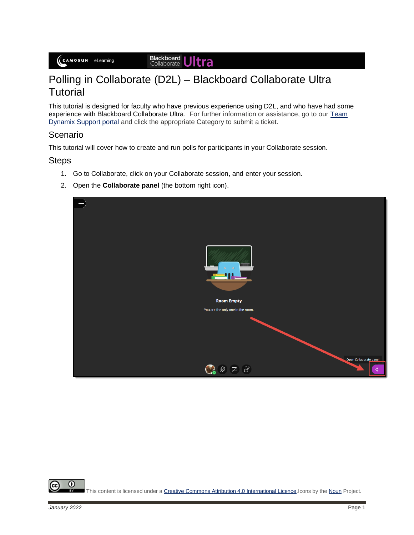Blackboard<br>Collaborate Jltra

## Polling in Collaborate (D2L) – Blackboard Collaborate Ultra **Tutorial**

This tutorial is designed for faculty who have previous experience using D2L, and who have had some experience with Blackboard Collaborate Ultra. For further information or assistance, go to our [Team](https://camosun.teamdynamix.com/TDClient/67/Portal/Requests/ServiceCatalog?CategoryID=523)  [Dynamix Support portal](https://camosun.teamdynamix.com/TDClient/67/Portal/Requests/ServiceCatalog?CategoryID=523) and click the appropriate Category to submit a ticket.

## Scenario

This tutorial will cover how to create and run polls for participants in your Collaborate session.

## **Steps**

- 1. Go to Collaborate, click on your Collaborate session, and enter your session.
- 2. Open the **Collaborate panel** (the bottom right icon).



⋒ This content is licensed under [a Creative Commons Attribution 4.0 International Licence.I](https://creativecommons.org/licenses/by/4.0/)cons by th[e Noun](https://creativecommons.org/website-icons/) Project.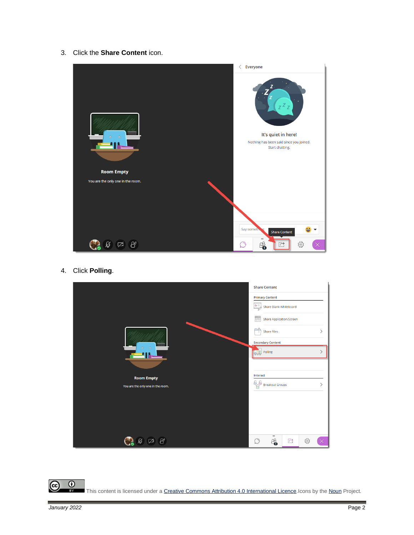3. Click the **Share Content** icon.



4. Click **Polling**.



 $\overline{\odot}$ (cc This content is licensed under a Creative Commons Attribution 4.0 International Licence. Icons by th[e Noun](https://creativecommons.org/website-icons/) Project.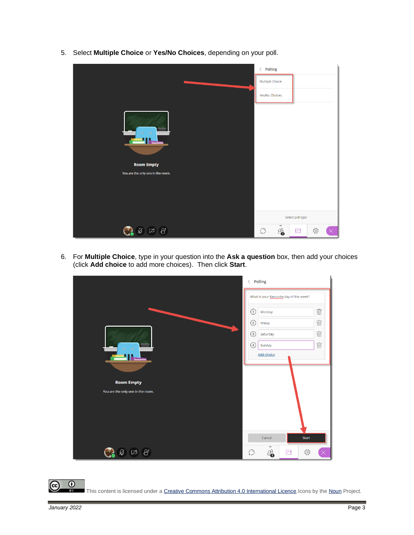5. Select **Multiple Choice** or **Yes/No Choices**, depending on your poll.

|                                                                                                | $\langle$ Polling               |                      |     |          |
|------------------------------------------------------------------------------------------------|---------------------------------|----------------------|-----|----------|
|                                                                                                | Multiple Choice                 |                      |     |          |
|                                                                                                | Yes/No Choices                  |                      |     |          |
| $\bullet$<br>$\odot$<br><b>E</b> 11.<br><b>Room Empty</b><br>You are the only one in the room. |                                 |                      |     |          |
|                                                                                                |                                 | Select poll type     |     |          |
| $\mathscr{B}$<br>Ø<br>☑                                                                        | $=$<br>4<br>$\circlearrowright$ | $\overrightarrow{C}$ | బ్ర | $\times$ |

6. For **Multiple Choice**, type in your question into the **Ask a question** box, then add your choices (click **Add choice** to add more choices). Then click **Start**.



 $\odot$ (cc This content is licensed under [a Creative Commons Attribution 4.0 International Licence.I](https://creativecommons.org/licenses/by/4.0/)cons by th[e Noun](https://creativecommons.org/website-icons/) Project.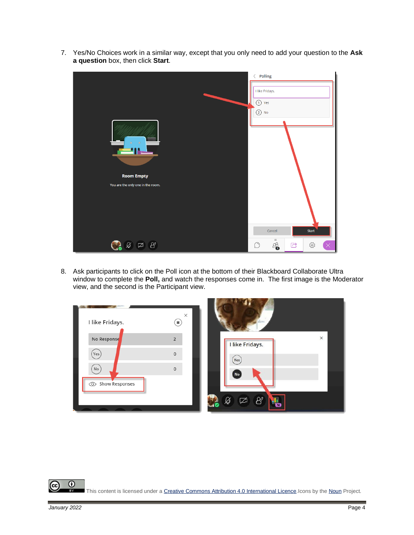- $\langle$  Polling I like Fridays.  $\bigodot$  Yes  $(2)$  No 41 **Room Empty** You are the only one in the room. Cancel Start  $\begin{picture}(130,15) \put(0,0){\line(1,0){155}} \put(150,0){\line(1,0){155}} \put(150,0){\line(1,0){155}} \put(150,0){\line(1,0){155}} \put(150,0){\line(1,0){155}} \put(150,0){\line(1,0){155}} \put(150,0){\line(1,0){155}} \put(150,0){\line(1,0){155}} \put(150,0){\line(1,0){155}} \put(150,0){\line(1,0){155}} \put(150,0){\$  $\mathbb{E}^3$ සූ CR  $\bigcirc$  $\overrightarrow{C}$
- 7. Yes/No Choices work in a similar way, except that you only need to add your question to the **Ask a question** box, then click **Start**.

8. Ask participants to click on the Poll icon at the bottom of their Blackboard Collaborate Ultra window to complete the **Poll,** and watch the responses come in. The first image is the Moderator view, and the second is the Participant view.



 $\odot$ This content is licensed under [a Creative Commons Attribution 4.0 International Licence.I](https://creativecommons.org/licenses/by/4.0/)cons by th[e Noun](https://creativecommons.org/website-icons/) Project.

(cc